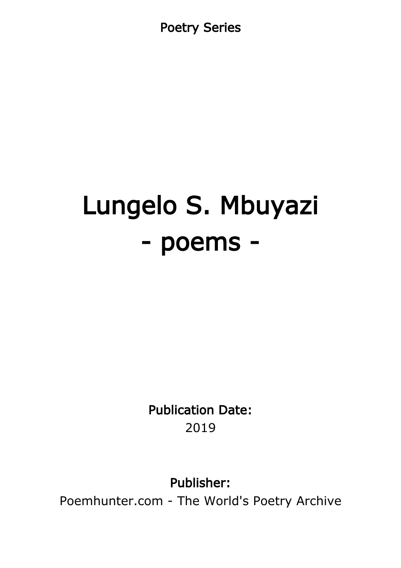Poetry Series

# Lungelo S. Mbuyazi - poems -

Publication Date: 2019

Publisher:

Poemhunter.com - The World's Poetry Archive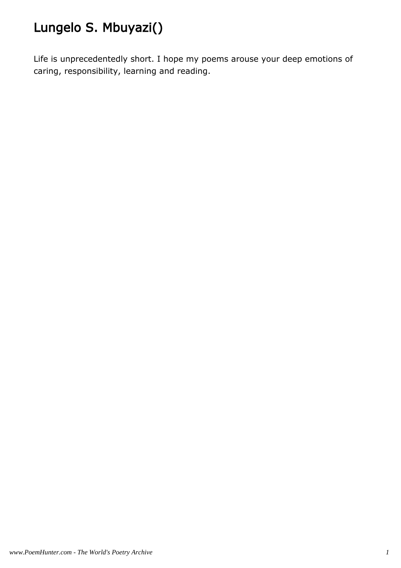# Lungelo S. Mbuyazi()

Life is unprecedentedly short. I hope my poems arouse your deep emotions of caring, responsibility, learning and reading.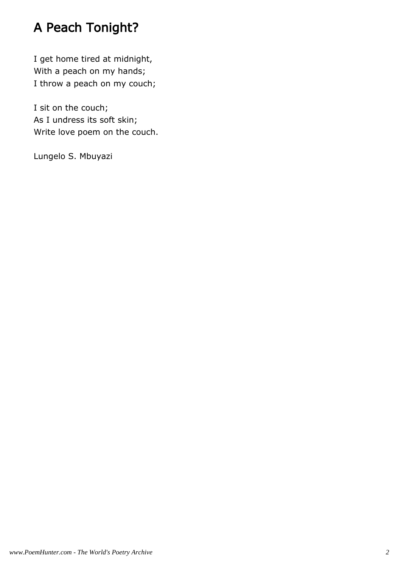# A Peach Tonight?

I get home tired at midnight, With a peach on my hands; I throw a peach on my couch;

I sit on the couch; As I undress its soft skin; Write love poem on the couch.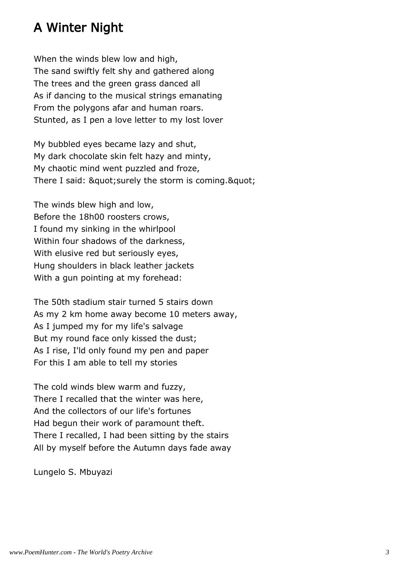# A Winter Night

When the winds blew low and high, The sand swiftly felt shy and gathered along The trees and the green grass danced all As if dancing to the musical strings emanating From the polygons afar and human roars. Stunted, as I pen a love letter to my lost lover

My bubbled eyes became lazy and shut, My dark chocolate skin felt hazy and minty, My chaotic mind went puzzled and froze, There I said: & quot; surely the storm is coming. & quot;

The winds blew high and low, Before the 18h00 roosters crows, I found my sinking in the whirlpool Within four shadows of the darkness, With elusive red but seriously eyes, Hung shoulders in black leather jackets With a gun pointing at my forehead:

The 50th stadium stair turned 5 stairs down As my 2 km home away become 10 meters away, As I jumped my for my life's salvage But my round face only kissed the dust; As I rise, I'ld only found my pen and paper For this I am able to tell my stories

The cold winds blew warm and fuzzy, There I recalled that the winter was here, And the collectors of our life's fortunes Had begun their work of paramount theft. There I recalled, I had been sitting by the stairs All by myself before the Autumn days fade away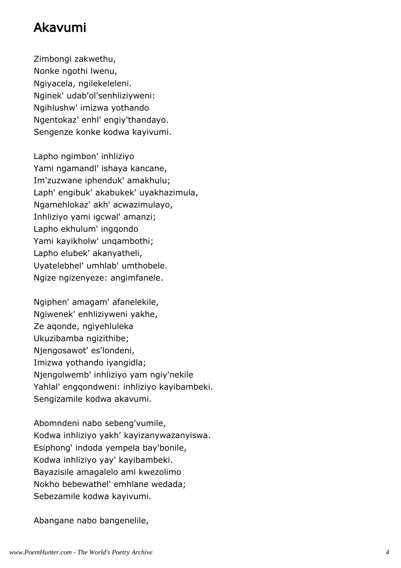### Akavumi

Zimbongi zakwethu, Nonke ngothi lwenu, Ngiyacela, ngilekeleleni. Nginek' udab'ol'senhliziyweni: Ngihlushw' imizwa yothando Ngentokaz' enhl' engiy'thandayo. Sengenze konke kodwa kayivumi.

Lapho ngimbon' inhliziyo Yami ngamandl' ishaya kancane, Im'zuzwane iphenduk' amakhulu; Laph' engibuk' akabukek' uyakhazimula, Ngamehlokaz' akh' acwazimulayo, Inhliziyo yami igcwal' amanzi; Lapho ekhulum' ingqondo Yami kayikholw' unqambothi; Lapho elubek' akanyatheli, Uyatelebhel' umhlab' umthobele. Ngize ngizenyeze: angimfanele.

Ngiphen' amagam' afanelekile, Ngiwenek' enhliziyweni yakhe, Ze aqonde, ngiyehluleka Ukuzibamba ngizithibe; Njengosawot' es'londeni, Imizwa yothando iyangidla; Njengolwemb' inhliziyo yam ngiy'nekile Yahlal' engqondweni: inhliziyo kayibambeki. Sengizamile kodwa akavumi.

Abomndeni nabo sebeng'vumile, Kodwa inhliziyo yakh' kayizanywazanyiswa. Esiphong' indoda yempela bay'bonile, Kodwa inhliziyo yay' kayibambeki. Bayazisile amagalelo ami kwezolimo Nokho bebewathel' emhlane wedada; Sebezamile kodwa kayivumi.

Abangane nabo bangenelile,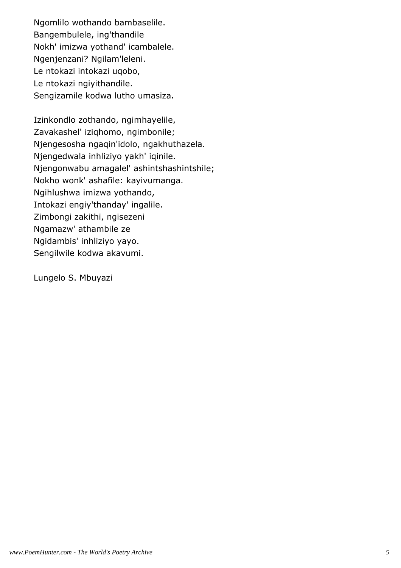Ngomlilo wothando bambaselile. Bangembulele, ing'thandile Nokh' imizwa yothand' icambalele. Ngenjenzani? Ngilam'leleni. Le ntokazi intokazi uqobo, Le ntokazi ngiyithandile. Sengizamile kodwa lutho umasiza.

Izinkondlo zothando, ngimhayelile, Zavakashel' iziqhomo, ngimbonile; Njengesosha ngaqin'idolo, ngakhuthazela. Njengedwala inhliziyo yakh' iqinile. Njengonwabu amagalel' ashintshashintshile; Nokho wonk' ashafile: kayivumanga. Ngihlushwa imizwa yothando, Intokazi engiy'thanday' ingalile. Zimbongi zakithi, ngisezeni Ngamazw' athambile ze Ngidambis' inhliziyo yayo. Sengilwile kodwa akavumi.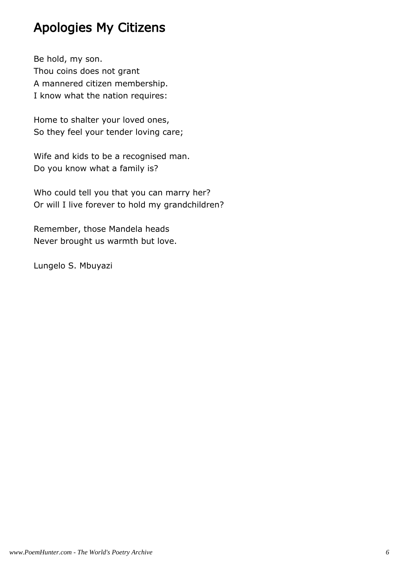# Apologies My Citizens

Be hold, my son. Thou coins does not grant A mannered citizen membership. I know what the nation requires:

Home to shalter your loved ones, So they feel your tender loving care;

Wife and kids to be a recognised man. Do you know what a family is?

Who could tell you that you can marry her? Or will I live forever to hold my grandchildren?

Remember, those Mandela heads Never brought us warmth but love.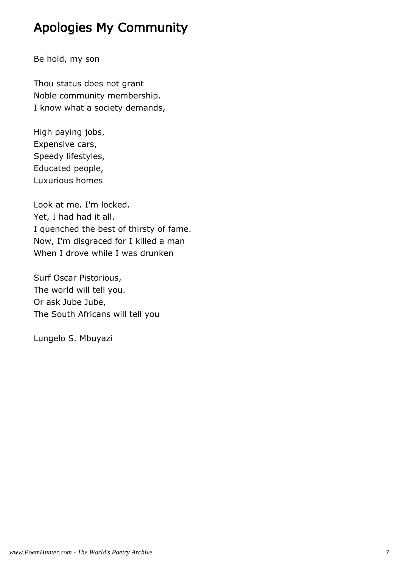# Apologies My Community

Be hold, my son

Thou status does not grant Noble community membership. I know what a society demands,

High paying jobs, Expensive cars, Speedy lifestyles, Educated people, Luxurious homes

Look at me. I'm locked. Yet, I had had it all. I quenched the best of thirsty of fame. Now, I'm disgraced for I killed a man When I drove while I was drunken

Surf Oscar Pistorious, The world will tell you. Or ask Jube Jube, The South Africans will tell you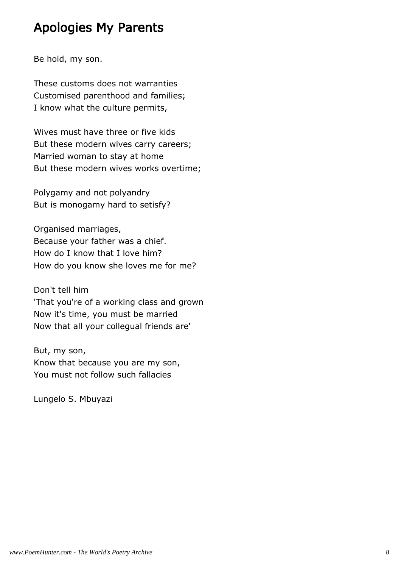# Apologies My Parents

Be hold, my son.

These customs does not warranties Customised parenthood and families; I know what the culture permits,

Wives must have three or five kids But these modern wives carry careers; Married woman to stay at home But these modern wives works overtime;

Polygamy and not polyandry But is monogamy hard to setisfy?

Organised marriages, Because your father was a chief. How do I know that I love him? How do you know she loves me for me?

Don't tell him 'That you're of a working class and grown Now it's time, you must be married Now that all your collegual friends are'

But, my son, Know that because you are my son, You must not follow such fallacies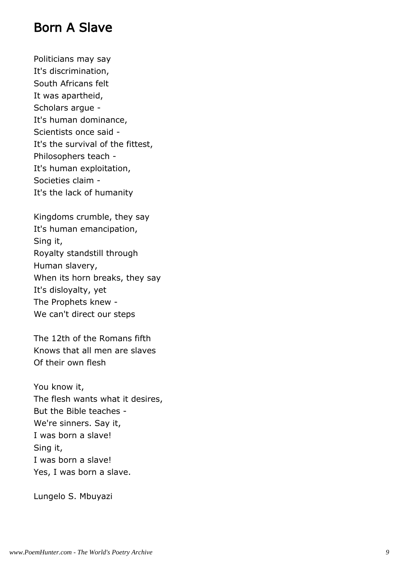#### Born A Slave

Politicians may say It's discrimination, South Africans felt It was apartheid, Scholars argue - It's human dominance, Scientists once said - It's the survival of the fittest, Philosophers teach - It's human exploitation, Societies claim - It's the lack of humanity

Kingdoms crumble, they say It's human emancipation, Sing it, Royalty standstill through Human slavery, When its horn breaks, they say It's disloyalty, yet The Prophets knew - We can't direct our steps

The 12th of the Romans fifth Knows that all men are slaves Of their own flesh

You know it, The flesh wants what it desires, But the Bible teaches - We're sinners. Say it, I was born a slave! Sing it, I was born a slave! Yes, I was born a slave.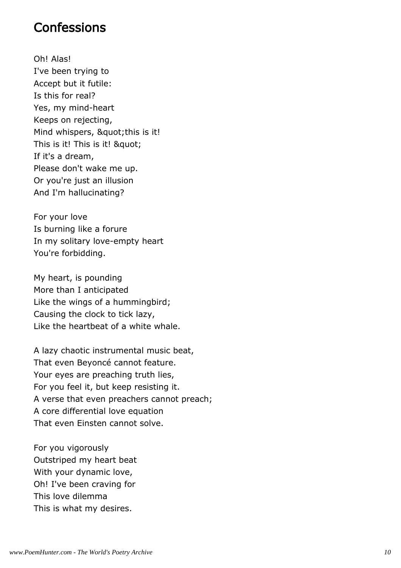#### **Confessions**

Oh! Alas! I've been trying to Accept but it futile: Is this for real? Yes, my mind-heart Keeps on rejecting, Mind whispers, " this is it! This is it! This is it! & quot; If it's a dream, Please don't wake me up. Or you're just an illusion And I'm hallucinating?

For your love Is burning like a forure In my solitary love-empty heart You're forbidding.

My heart, is pounding More than I anticipated Like the wings of a hummingbird; Causing the clock to tick lazy, Like the heartbeat of a white whale.

A lazy chaotic instrumental music beat, That even Beyoncé cannot feature. Your eyes are preaching truth lies, For you feel it, but keep resisting it. A verse that even preachers cannot preach; A core differential love equation That even Einsten cannot solve.

For you vigorously Outstriped my heart beat With your dynamic love, Oh! I've been craving for This love dilemma This is what my desires.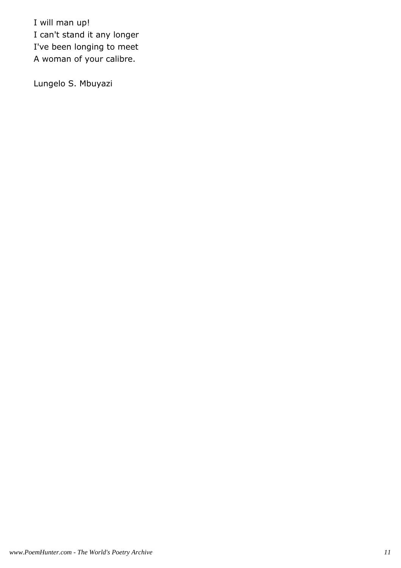I will man up! I can't stand it any longer I've been longing to meet A woman of your calibre.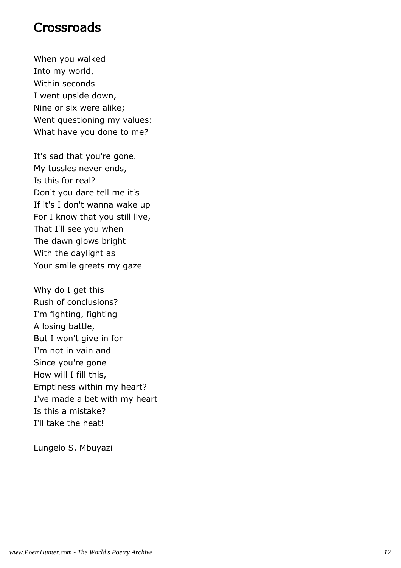#### **Crossroads**

When you walked Into my world, Within seconds I went upside down, Nine or six were alike; Went questioning my values: What have you done to me?

It's sad that you're gone. My tussles never ends, Is this for real? Don't you dare tell me it's If it's I don't wanna wake up For I know that you still live, That I'll see you when The dawn glows bright With the daylight as Your smile greets my gaze

Why do I get this Rush of conclusions? I'm fighting, fighting A losing battle, But I won't give in for I'm not in vain and Since you're gone How will I fill this, Emptiness within my heart? I've made a bet with my heart Is this a mistake? I'll take the heat!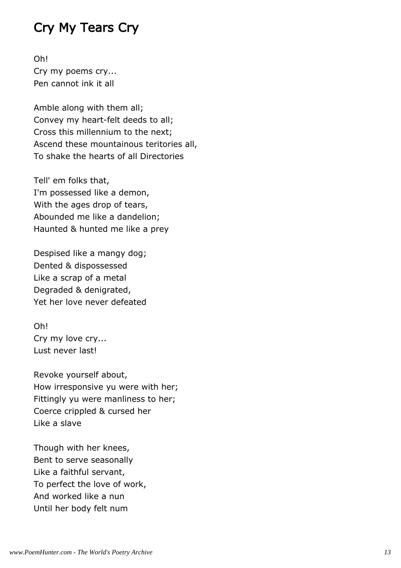# Cry My Tears Cry

Oh! Cry my poems cry... Pen cannot ink it all

Amble along with them all; Convey my heart-felt deeds to all; Cross this millennium to the next; Ascend these mountainous teritories all, To shake the hearts of all Directories

Tell' em folks that, I'm possessed like a demon, With the ages drop of tears, Abounded me like a dandelion; Haunted & hunted me like a prey

Despised like a mangy dog; Dented & dispossessed Like a scrap of a metal Degraded & denigrated, Yet her love never defeated

Oh! Cry my love cry... Lust never last!

Revoke yourself about, How irresponsive yu were with her; Fittingly yu were manliness to her; Coerce crippled & cursed her Like a slave

Though with her knees, Bent to serve seasonally Like a faithful servant, To perfect the love of work, And worked like a nun Until her body felt num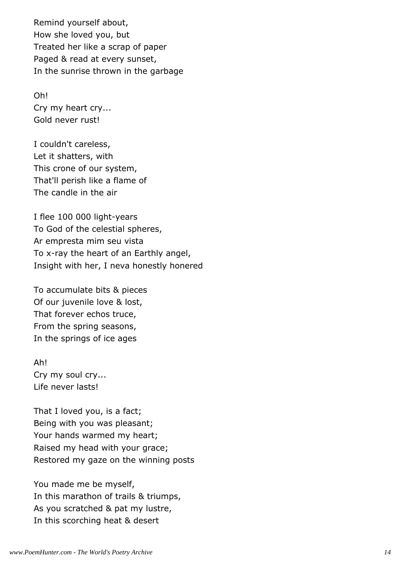Remind yourself about, How she loved you, but Treated her like a scrap of paper Paged & read at every sunset, In the sunrise thrown in the garbage

Oh! Cry my heart cry... Gold never rust!

I couldn't careless, Let it shatters, with This crone of our system, That'll perish like a flame of The candle in the air

I flee 100 000 light-years To God of the celestial spheres, Ar empresta mim seu vista To x-ray the heart of an Earthly angel, Insight with her, I neva honestly honered

To accumulate bits & pieces Of our juvenile love & lost, That forever echos truce, From the spring seasons, In the springs of ice ages

Ah! Cry my soul cry... Life never lasts!

That I loved you, is a fact; Being with you was pleasant; Your hands warmed my heart; Raised my head with your grace; Restored my gaze on the winning posts

You made me be myself, In this marathon of trails & triumps, As you scratched & pat my lustre, In this scorching heat & desert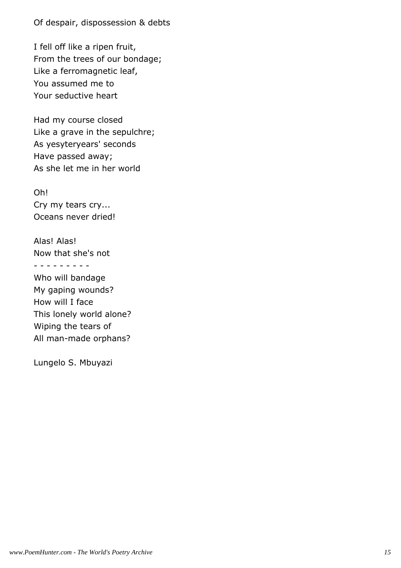Of despair, dispossession & debts

I fell off like a ripen fruit, From the trees of our bondage; Like a ferromagnetic leaf, You assumed me to Your seductive heart

Had my course closed Like a grave in the sepulchre; As yesyteryears' seconds Have passed away; As she let me in her world

Oh! Cry my tears cry... Oceans never dried!

Alas! Alas! Now that she's not - - - - - - - - -

Who will bandage My gaping wounds? How will I face This lonely world alone? Wiping the tears of All man-made orphans?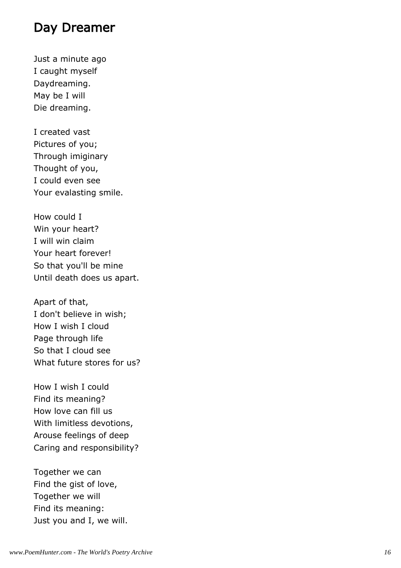#### Day Dreamer

Just a minute ago I caught myself Daydreaming. May be I will Die dreaming.

I created vast Pictures of you; Through imiginary Thought of you, I could even see Your evalasting smile.

How could I Win your heart? I will win claim Your heart forever! So that you'll be mine Until death does us apart.

Apart of that, I don't believe in wish; How I wish I cloud Page through life So that I cloud see What future stores for us?

How I wish I could Find its meaning? How love can fill us With limitless devotions, Arouse feelings of deep Caring and responsibility?

Together we can Find the gist of love, Together we will Find its meaning: Just you and I, we will.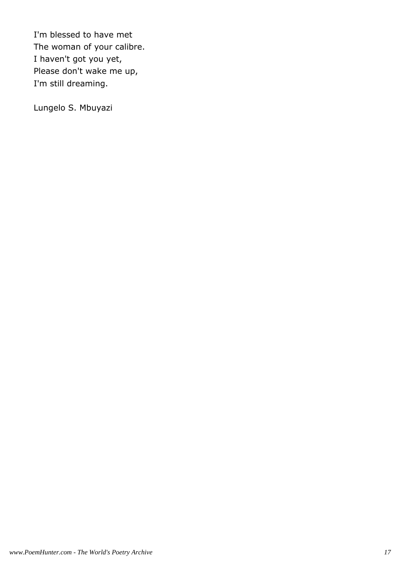I'm blessed to have met The woman of your calibre. I haven't got you yet, Please don't wake me up, I'm still dreaming.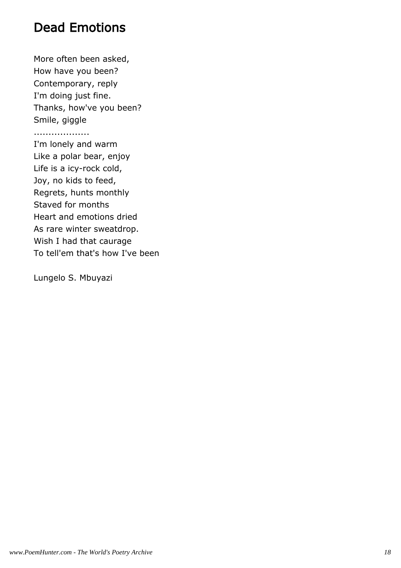# Dead Emotions

More often been asked, How have you been? Contemporary, reply I'm doing just fine. Thanks, how've you been? Smile, giggle

...................

I'm lonely and warm Like a polar bear, enjoy Life is a icy-rock cold, Joy, no kids to feed, Regrets, hunts monthly Staved for months Heart and emotions dried As rare winter sweatdrop. Wish I had that caurage To tell'em that's how I've been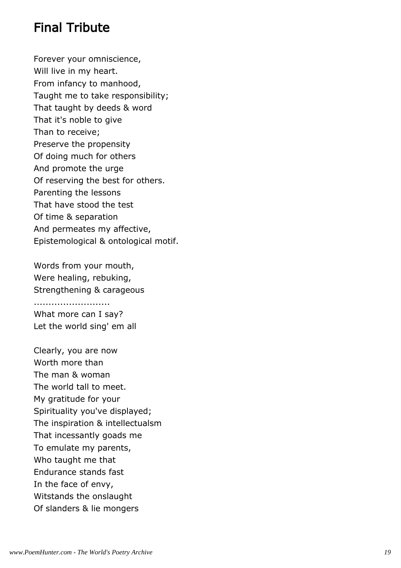### Final Tribute

Forever your omniscience, Will live in my heart. From infancy to manhood, Taught me to take responsibility; That taught by deeds & word That it's noble to give Than to receive; Preserve the propensity Of doing much for others And promote the urge Of reserving the best for others. Parenting the lessons That have stood the test Of time & separation And permeates my affective, Epistemological & ontological motif.

Words from your mouth, Were healing, rebuking, Strengthening & carageous

.......................... What more can I say? Let the world sing' em all

Clearly, you are now Worth more than The man & woman The world tall to meet. My gratitude for your Spirituality you've displayed; The inspiration & intellectualsm That incessantly goads me To emulate my parents, Who taught me that Endurance stands fast In the face of envy, Witstands the onslaught Of slanders & lie mongers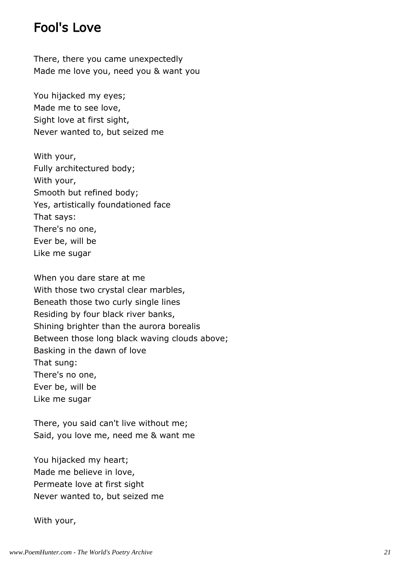#### Fool's Love

There, there you came unexpectedly Made me love you, need you & want you

You hijacked my eyes; Made me to see love, Sight love at first sight, Never wanted to, but seized me

With your, Fully architectured body; With your, Smooth but refined body; Yes, artistically foundationed face That says: There's no one, Ever be, will be Like me sugar

When you dare stare at me With those two crystal clear marbles, Beneath those two curly single lines Residing by four black river banks, Shining brighter than the aurora borealis Between those long black waving clouds above; Basking in the dawn of love That sung: There's no one, Ever be, will be Like me sugar

There, you said can't live without me; Said, you love me, need me & want me

You hijacked my heart; Made me believe in love, Permeate love at first sight Never wanted to, but seized me

#### With your,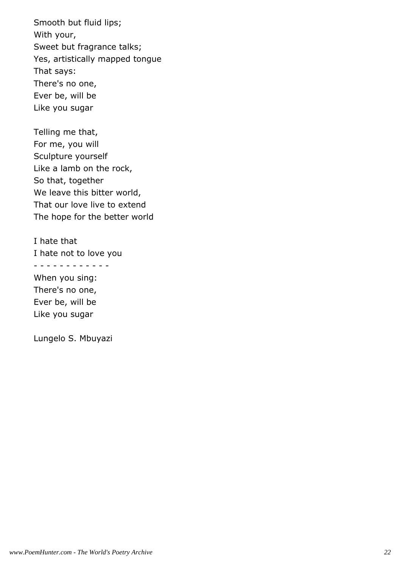Smooth but fluid lips; With your, Sweet but fragrance talks; Yes, artistically mapped tongue That says: There's no one, Ever be, will be Like you sugar

Telling me that, For me, you will Sculpture yourself Like a lamb on the rock, So that, together We leave this bitter world, That our love live to extend The hope for the better world

I hate that I hate not to love you - - - - - - - - - - - - When you sing: There's no one, Ever be, will be Like you sugar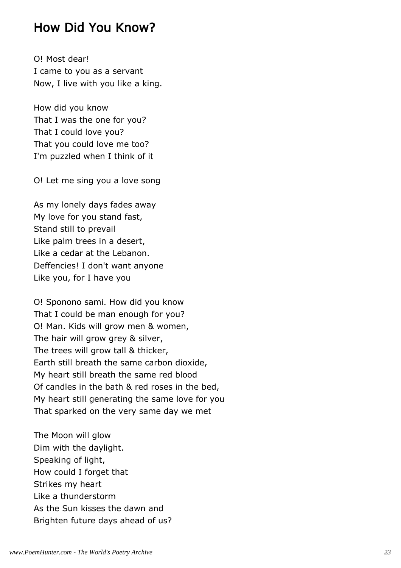#### How Did You Know?

O! Most dear! I came to you as a servant Now, I live with you like a king.

How did you know That I was the one for you? That I could love you? That you could love me too? I'm puzzled when I think of it

O! Let me sing you a love song

As my lonely days fades away My love for you stand fast, Stand still to prevail Like palm trees in a desert, Like a cedar at the Lebanon. Deffencies! I don't want anyone Like you, for I have you

O! Sponono sami. How did you know That I could be man enough for you? O! Man. Kids will grow men & women, The hair will grow grey & silver, The trees will grow tall & thicker, Earth still breath the same carbon dioxide, My heart still breath the same red blood Of candles in the bath & red roses in the bed, My heart still generating the same love for you That sparked on the very same day we met

The Moon will glow Dim with the daylight. Speaking of light, How could I forget that Strikes my heart Like a thunderstorm As the Sun kisses the dawn and Brighten future days ahead of us?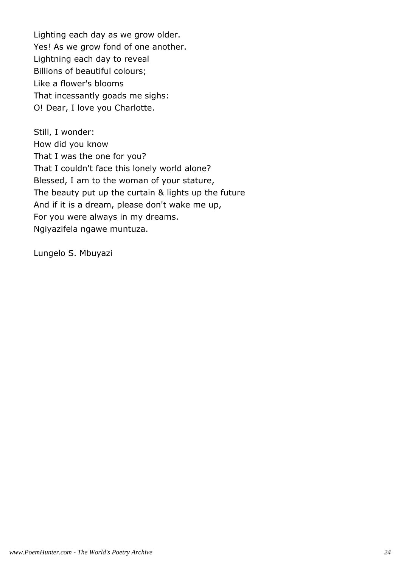Lighting each day as we grow older. Yes! As we grow fond of one another. Lightning each day to reveal Billions of beautiful colours; Like a flower's blooms That incessantly goads me sighs: O! Dear, I love you Charlotte.

Still, I wonder: How did you know That I was the one for you? That I couldn't face this lonely world alone? Blessed, I am to the woman of your stature, The beauty put up the curtain & lights up the future And if it is a dream, please don't wake me up, For you were always in my dreams. Ngiyazifela ngawe muntuza.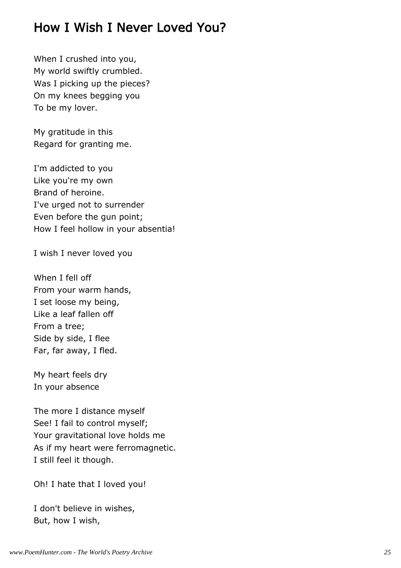# How I Wish I Never Loved You?

When I crushed into you, My world swiftly crumbled. Was I picking up the pieces? On my knees begging you To be my lover.

My gratitude in this Regard for granting me.

I'm addicted to you Like you're my own Brand of heroine. I've urged not to surrender Even before the gun point; How I feel hollow in your absentia!

I wish I never loved you

When I fell off From your warm hands, I set loose my being, Like a leaf fallen off From a tree; Side by side, I flee Far, far away, I fled.

My heart feels dry In your absence

The more I distance myself See! I fail to control myself; Your gravitational love holds me As if my heart were ferromagnetic. I still feel it though.

Oh! I hate that I loved you!

I don't believe in wishes, But, how I wish,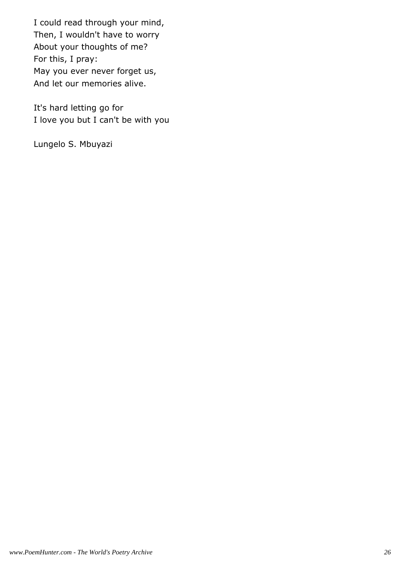I could read through your mind, Then, I wouldn't have to worry About your thoughts of me? For this, I pray: May you ever never forget us, And let our memories alive.

It's hard letting go for I love you but I can't be with you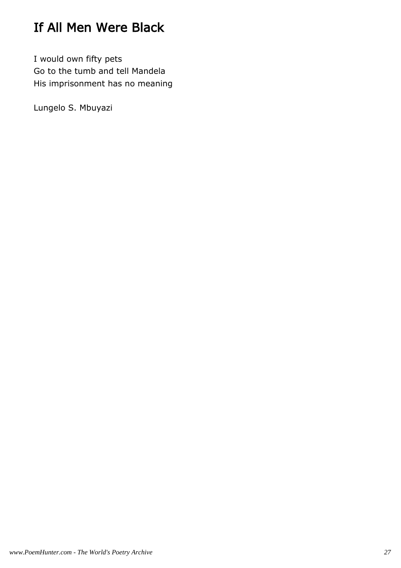# If All Men Were Black

I would own fifty pets Go to the tumb and tell Mandela His imprisonment has no meaning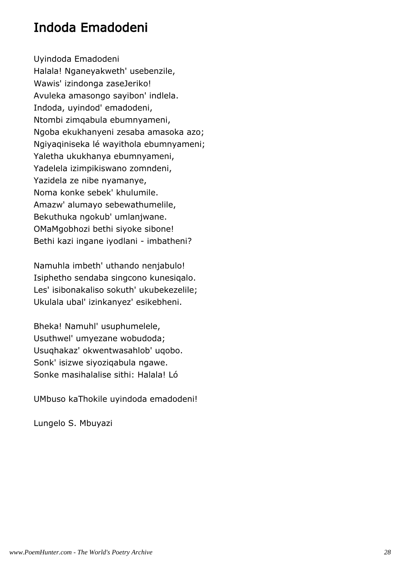### Indoda Emadodeni

Uyindoda Emadodeni Halala! Nganeyakweth' usebenzile, Wawis' izindonga zaseJeriko! Avuleka amasongo sayibon' indlela. Indoda, uyindod' emadodeni, Ntombi zimqabula ebumnyameni, Ngoba ekukhanyeni zesaba amasoka azo; Ngiyaqiniseka lé wayithola ebumnyameni; Yaletha ukukhanya ebumnyameni, Yadelela izimpikiswano zomndeni, Yazidela ze nibe nyamanye, Noma konke sebek' khulumile. Amazw' alumayo sebewathumelile, Bekuthuka ngokub' umlanjwane. OMaMgobhozi bethi siyoke sibone! Bethi kazi ingane iyodlani - imbatheni?

Namuhla imbeth' uthando nenjabulo! Isiphetho sendaba singcono kunesiqalo. Les' isibonakaliso sokuth' ukubekezelile; Ukulala ubal' izinkanyez' esikebheni.

Bheka! Namuhl' usuphumelele, Usuthwel' umyezane wobudoda; Usuqhakaz' okwentwasahlob' uqobo. Sonk' isizwe siyoziqabula ngawe. Sonke masihalalise sithi: Halala! Ló

UMbuso kaThokile uyindoda emadodeni!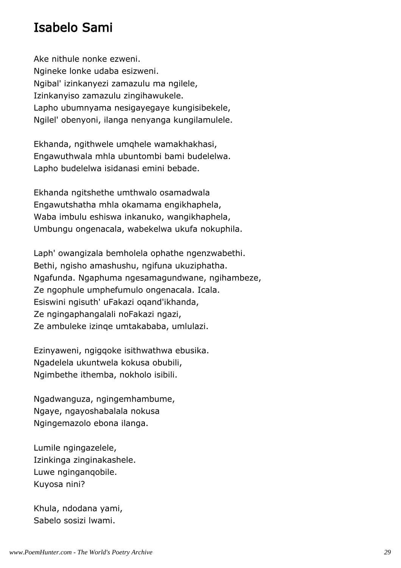# Isabelo Sami

Ake nithule nonke ezweni. Ngineke lonke udaba esizweni. Ngibal' izinkanyezi zamazulu ma ngilele, Izinkanyiso zamazulu zingihawukele. Lapho ubumnyama nesigayegaye kungisibekele, Ngilel' obenyoni, ilanga nenyanga kungilamulele.

Ekhanda, ngithwele umqhele wamakhakhasi, Engawuthwala mhla ubuntombi bami budelelwa. Lapho budelelwa isidanasi emini bebade.

Ekhanda ngitshethe umthwalo osamadwala Engawutshatha mhla okamama engikhaphela, Waba imbulu eshiswa inkanuko, wangikhaphela, Umbungu ongenacala, wabekelwa ukufa nokuphila.

Laph' owangizala bemholela ophathe ngenzwabethi. Bethi, ngisho amashushu, ngifuna ukuziphatha. Ngafunda. Ngaphuma ngesamagundwane, ngihambeze, Ze ngophule umphefumulo ongenacala. Icala. Esiswini ngisuth' uFakazi oqand'ikhanda, Ze ngingaphangalali noFakazi ngazi, Ze ambuleke izinqe umtakababa, umlulazi.

Ezinyaweni, ngigqoke isithwathwa ebusika. Ngadelela ukuntwela kokusa obubili, Ngimbethe ithemba, nokholo isibili.

Ngadwanguza, ngingemhambume, Ngaye, ngayoshabalala nokusa Ngingemazolo ebona ilanga.

Lumile ngingazelele, Izinkinga zinginakashele. Luwe nginganqobile. Kuyosa nini?

Khula, ndodana yami, Sabelo sosizi lwami.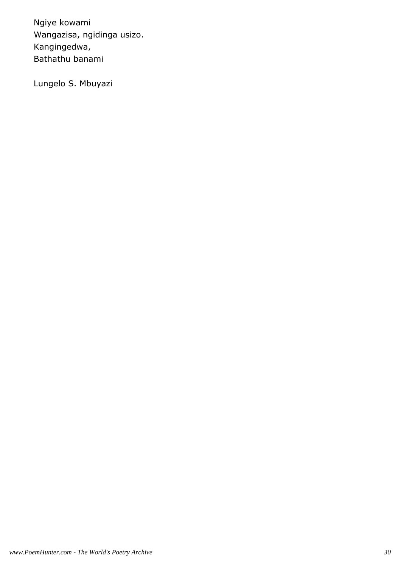Ngiye kowami Wangazisa, ngidinga usizo. Kangingedwa, Bathathu banami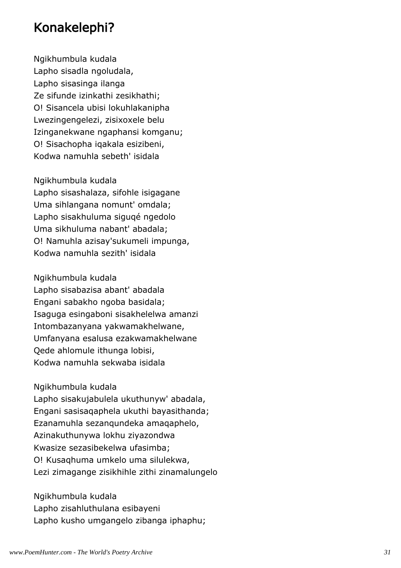# Konakelephi?

Ngikhumbula kudala Lapho sisadla ngoludala, Lapho sisasinga ilanga Ze sifunde izinkathi zesikhathi; O! Sisancela ubisi lokuhlakanipha Lwezingengelezi, zisixoxele belu Izinganekwane ngaphansi komganu; O! Sisachopha iqakala esizibeni, Kodwa namuhla sebeth' isidala

Ngikhumbula kudala Lapho sisashalaza, sifohle isigagane Uma sihlangana nomunt' omdala; Lapho sisakhuluma siguqé ngedolo Uma sikhuluma nabant' abadala; O! Namuhla azisay'sukumeli impunga, Kodwa namuhla sezith' isidala

Ngikhumbula kudala Lapho sisabazisa abant' abadala Engani sabakho ngoba basidala; Isaguga esingaboni sisakhelelwa amanzi Intombazanyana yakwamakhelwane, Umfanyana esalusa ezakwamakhelwane Qede ahlomule ithunga lobisi, Kodwa namuhla sekwaba isidala

Ngikhumbula kudala Lapho sisakujabulela ukuthunyw' abadala, Engani sasisaqaphela ukuthi bayasithanda; Ezanamuhla sezanqundeka amaqaphelo, Azinakuthunywa lokhu ziyazondwa Kwasize sezasibekelwa ufasimba; O! Kusaqhuma umkelo uma silulekwa, Lezi zimagange zisikhihle zithi zinamalungelo

Ngikhumbula kudala Lapho zisahluthulana esibayeni Lapho kusho umgangelo zibanga iphaphu;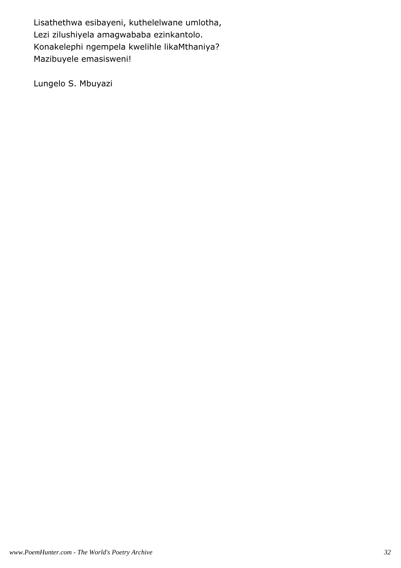Lisathethwa esibayeni, kuthelelwane umlotha, Lezi zilushiyela amagwababa ezinkantolo. Konakelephi ngempela kwelihle likaMthaniya? Mazibuyele emasisweni!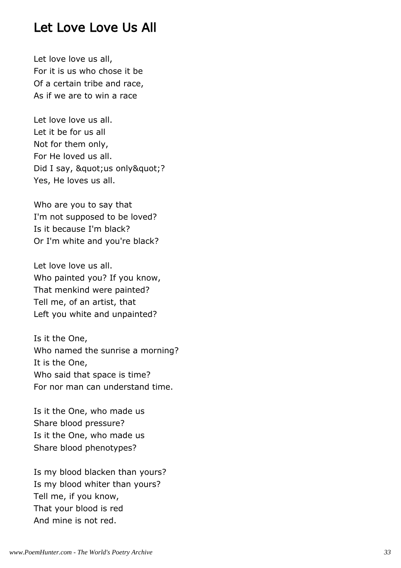#### Let Love Love Us All

Let love love us all, For it is us who chose it be Of a certain tribe and race, As if we are to win a race

Let love love us all. Let it be for us all Not for them only, For He loved us all. Did I say, " us only "? Yes, He loves us all.

Who are you to say that I'm not supposed to be loved? Is it because I'm black? Or I'm white and you're black?

Let love love us all. Who painted you? If you know, That menkind were painted? Tell me, of an artist, that Left you white and unpainted?

Is it the One, Who named the sunrise a morning? It is the One, Who said that space is time? For nor man can understand time.

Is it the One, who made us Share blood pressure? Is it the One, who made us Share blood phenotypes?

Is my blood blacken than yours? Is my blood whiter than yours? Tell me, if you know, That your blood is red And mine is not red.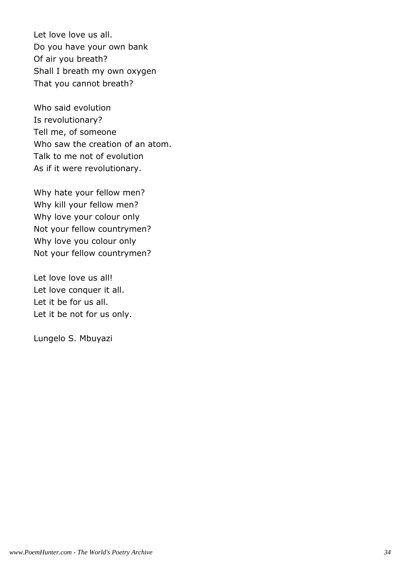Let love love us all. Do you have your own bank Of air you breath? Shall I breath my own oxygen That you cannot breath?

Who said evolution Is revolutionary? Tell me, of someone Who saw the creation of an atom. Talk to me not of evolution As if it were revolutionary.

Why hate your fellow men? Why kill your fellow men? Why love your colour only Not your fellow countrymen? Why love you colour only Not your fellow countrymen?

Let love love us all! Let love conquer it all. Let it be for us all. Let it be not for us only.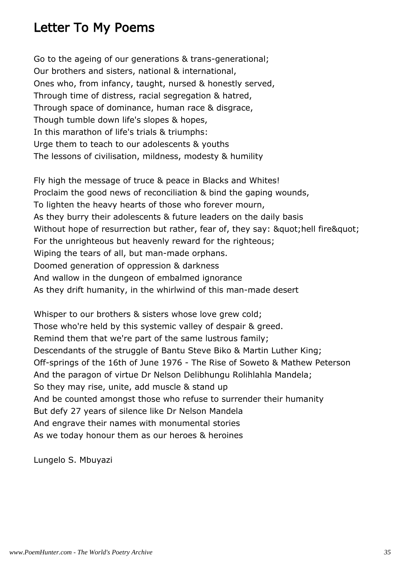# Letter To My Poems

Go to the ageing of our generations & trans-generational; Our brothers and sisters, national & international, Ones who, from infancy, taught, nursed & honestly served, Through time of distress, racial segregation & hatred, Through space of dominance, human race & disgrace, Though tumble down life's slopes & hopes, In this marathon of life's trials & triumphs: Urge them to teach to our adolescents & youths The lessons of civilisation, mildness, modesty & humility

Fly high the message of truce & peace in Blacks and Whites! Proclaim the good news of reconciliation & bind the gaping wounds, To lighten the heavy hearts of those who forever mourn, As they burry their adolescents & future leaders on the daily basis Without hope of resurrection but rather, fear of, they say: " hell fire" For the unrighteous but heavenly reward for the righteous; Wiping the tears of all, but man-made orphans. Doomed generation of oppression & darkness And wallow in the dungeon of embalmed ignorance As they drift humanity, in the whirlwind of this man-made desert

Whisper to our brothers & sisters whose love grew cold; Those who're held by this systemic valley of despair & greed. Remind them that we're part of the same lustrous family; Descendants of the struggle of Bantu Steve Biko & Martin Luther King; Off-springs of the 16th of June 1976 - The Rise of Soweto & Mathew Peterson And the paragon of virtue Dr Nelson Delibhungu Rolihlahla Mandela; So they may rise, unite, add muscle & stand up And be counted amongst those who refuse to surrender their humanity But defy 27 years of silence like Dr Nelson Mandela And engrave their names with monumental stories As we today honour them as our heroes & heroines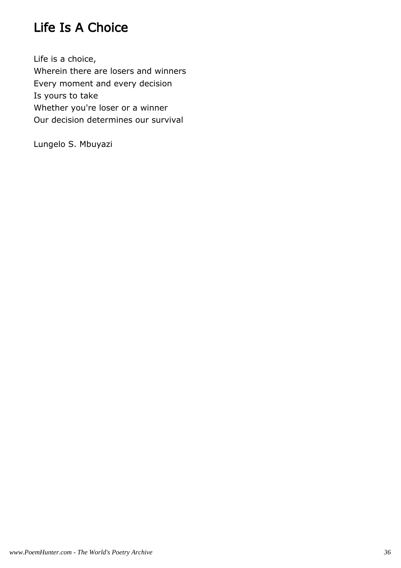# Life Is A Choice

Life is a choice, Wherein there are losers and winners Every moment and every decision Is yours to take Whether you're loser or a winner Our decision determines our survival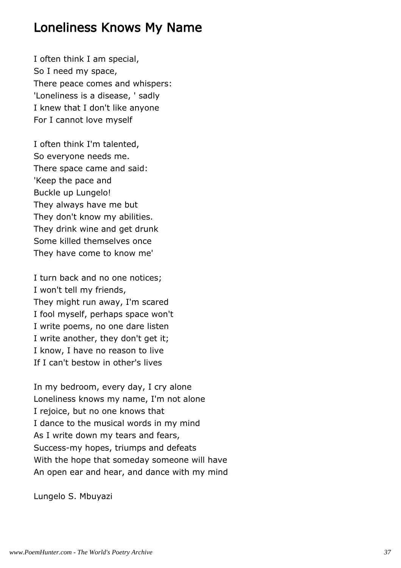#### Loneliness Knows My Name

I often think I am special, So I need my space, There peace comes and whispers: 'Loneliness is a disease, ' sadly I knew that I don't like anyone For I cannot love myself

I often think I'm talented, So everyone needs me. There space came and said: 'Keep the pace and Buckle up Lungelo! They always have me but They don't know my abilities. They drink wine and get drunk Some killed themselves once They have come to know me'

I turn back and no one notices; I won't tell my friends, They might run away, I'm scared I fool myself, perhaps space won't I write poems, no one dare listen I write another, they don't get it; I know, I have no reason to live If I can't bestow in other's lives

In my bedroom, every day, I cry alone Loneliness knows my name, I'm not alone I rejoice, but no one knows that I dance to the musical words in my mind As I write down my tears and fears, Success-my hopes, triumps and defeats With the hope that someday someone will have An open ear and hear, and dance with my mind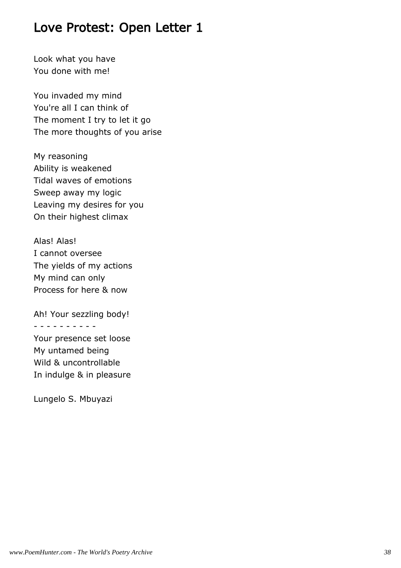Look what you have You done with me!

You invaded my mind You're all I can think of The moment I try to let it go The more thoughts of you arise

My reasoning Ability is weakened Tidal waves of emotions Sweep away my logic Leaving my desires for you On their highest climax

Alas! Alas! I cannot oversee The yields of my actions My mind can only Process for here & now

Ah! Your sezzling body!

- - - - - - - - - -

Your presence set loose My untamed being Wild & uncontrollable In indulge & in pleasure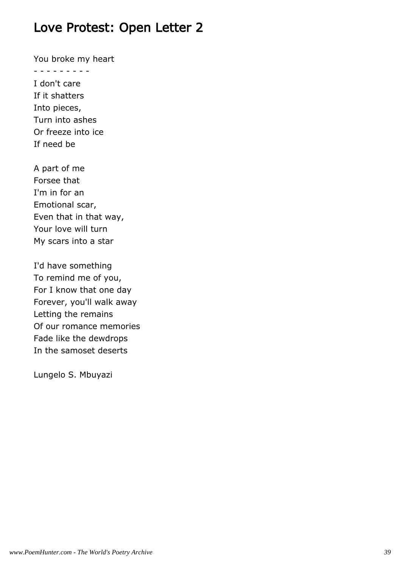You broke my heart

- - - - - - - - -

I don't care If it shatters Into pieces, Turn into ashes Or freeze into ice If need be

A part of me Forsee that I'm in for an Emotional scar, Even that in that way, Your love will turn My scars into a star

I'd have something To remind me of you, For I know that one day Forever, you'll walk away Letting the remains Of our romance memories Fade like the dewdrops In the samoset deserts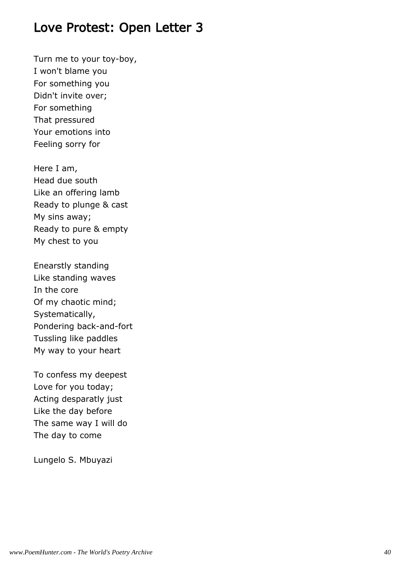Turn me to your toy-boy, I won't blame you For something you Didn't invite over; For something That pressured Your emotions into Feeling sorry for

Here I am, Head due south Like an offering lamb Ready to plunge & cast My sins away; Ready to pure & empty My chest to you

Enearstly standing Like standing waves In the core Of my chaotic mind; Systematically, Pondering back-and-fort Tussling like paddles My way to your heart

To confess my deepest Love for you today; Acting desparatly just Like the day before The same way I will do The day to come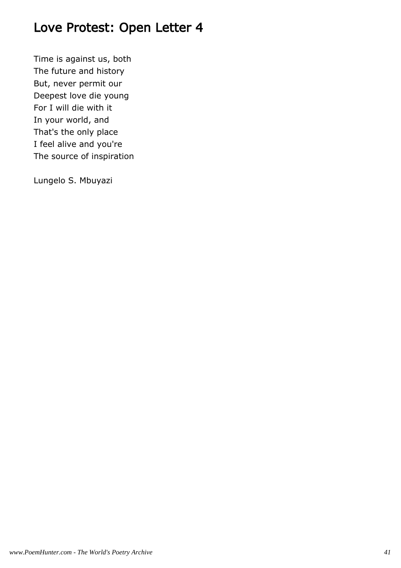Time is against us, both The future and history But, never permit our Deepest love die young For I will die with it In your world, and That's the only place I feel alive and you're The source of inspiration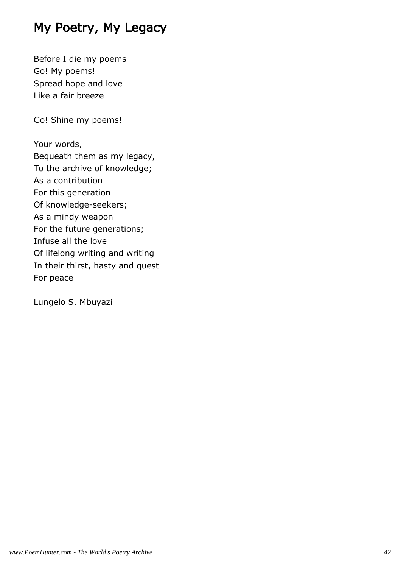# My Poetry, My Legacy

Before I die my poems Go! My poems! Spread hope and love Like a fair breeze

Go! Shine my poems!

Your words, Bequeath them as my legacy, To the archive of knowledge; As a contribution For this generation Of knowledge-seekers; As a mindy weapon For the future generations; Infuse all the love Of lifelong writing and writing In their thirst, hasty and quest For peace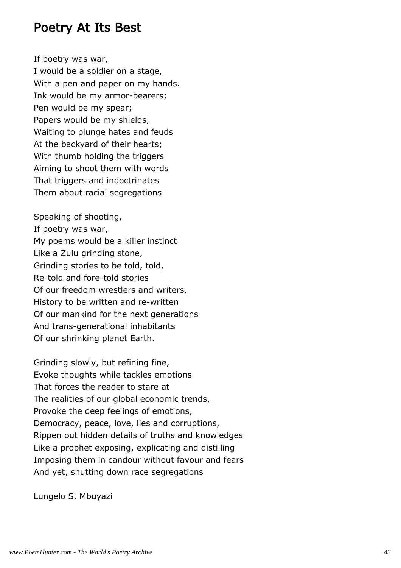#### Poetry At Its Best

If poetry was war,

I would be a soldier on a stage, With a pen and paper on my hands. Ink would be my armor-bearers; Pen would be my spear; Papers would be my shields, Waiting to plunge hates and feuds At the backyard of their hearts; With thumb holding the triggers Aiming to shoot them with words That triggers and indoctrinates Them about racial segregations

Speaking of shooting, If poetry was war, My poems would be a killer instinct Like a Zulu grinding stone, Grinding stories to be told, told, Re-told and fore-told stories Of our freedom wrestlers and writers, History to be written and re-written Of our mankind for the next generations And trans-generational inhabitants Of our shrinking planet Earth.

Grinding slowly, but refining fine, Evoke thoughts while tackles emotions That forces the reader to stare at The realities of our global economic trends, Provoke the deep feelings of emotions, Democracy, peace, love, lies and corruptions, Rippen out hidden details of truths and knowledges Like a prophet exposing, explicating and distilling Imposing them in candour without favour and fears And yet, shutting down race segregations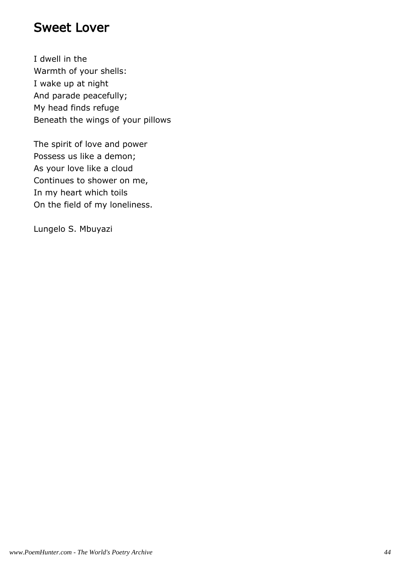#### Sweet Lover

I dwell in the Warmth of your shells: I wake up at night And parade peacefully; My head finds refuge Beneath the wings of your pillows

The spirit of love and power Possess us like a demon; As your love like a cloud Continues to shower on me, In my heart which toils On the field of my loneliness.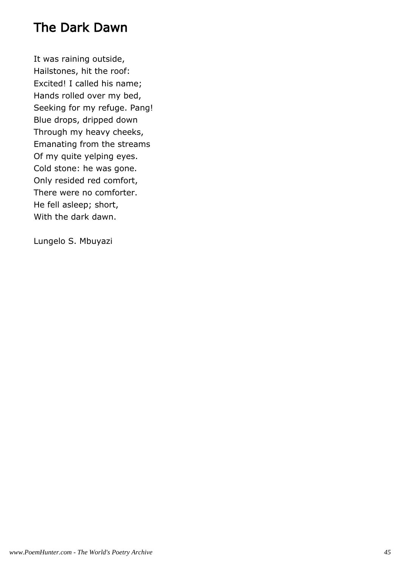# The Dark Dawn

It was raining outside, Hailstones, hit the roof: Excited! I called his name; Hands rolled over my bed, Seeking for my refuge. Pang! Blue drops, dripped down Through my heavy cheeks, Emanating from the streams Of my quite yelping eyes. Cold stone: he was gone. Only resided red comfort, There were no comforter. He fell asleep; short, With the dark dawn.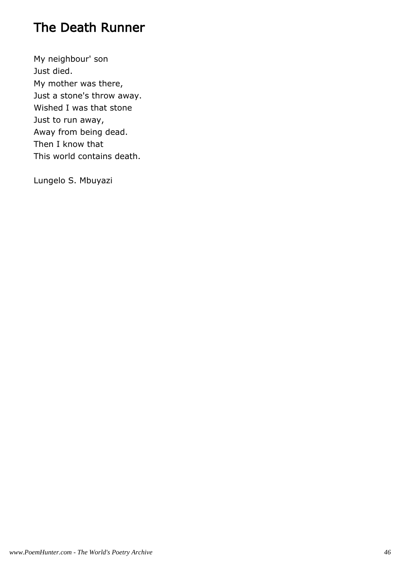# The Death Runner

My neighbour' son Just died. My mother was there, Just a stone's throw away. Wished I was that stone Just to run away, Away from being dead. Then I know that This world contains death.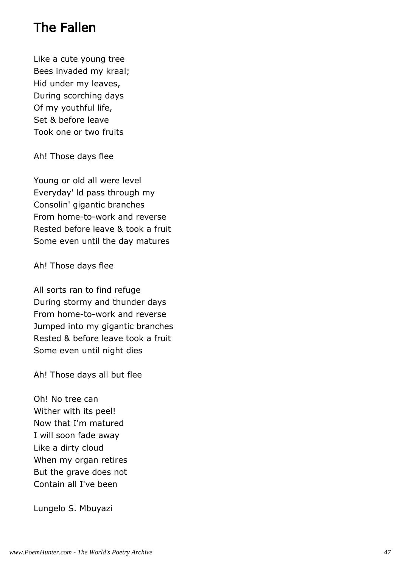# The Fallen

Like a cute young tree Bees invaded my kraal; Hid under my leaves, During scorching days Of my youthful life, Set & before leave Took one or two fruits

Ah! Those days flee

Young or old all were level Everyday' ld pass through my Consolin' gigantic branches From home-to-work and reverse Rested before leave & took a fruit Some even until the day matures

Ah! Those days flee

All sorts ran to find refuge During stormy and thunder days From home-to-work and reverse Jumped into my gigantic branches Rested & before leave took a fruit Some even until night dies

Ah! Those days all but flee

Oh! No tree can Wither with its peel! Now that I'm matured I will soon fade away Like a dirty cloud When my organ retires But the grave does not Contain all I've been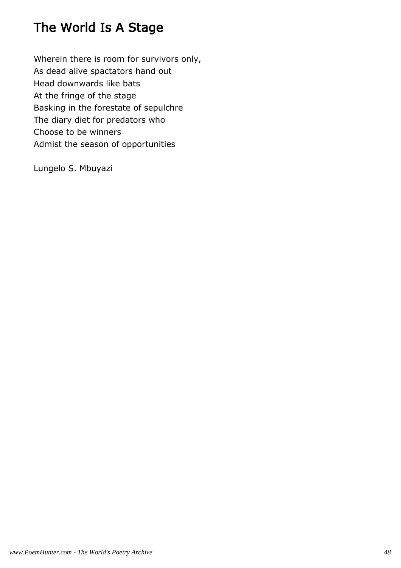# The World Is A Stage

Wherein there is room for survivors only, As dead alive spactators hand out Head downwards like bats At the fringe of the stage Basking in the forestate of sepulchre The diary diet for predators who Choose to be winners Admist the season of opportunities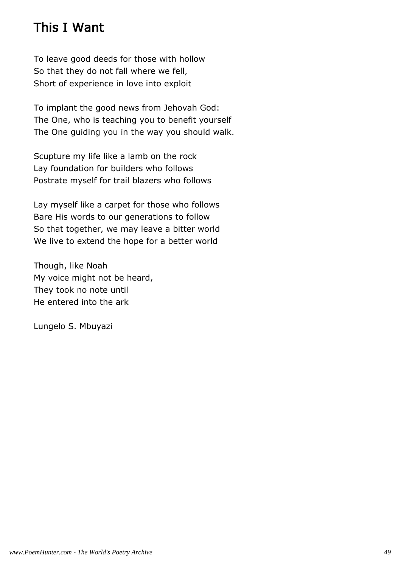# This I Want

To leave good deeds for those with hollow So that they do not fall where we fell, Short of experience in love into exploit

To implant the good news from Jehovah God: The One, who is teaching you to benefit yourself The One guiding you in the way you should walk.

Scupture my life like a lamb on the rock Lay foundation for builders who follows Postrate myself for trail blazers who follows

Lay myself like a carpet for those who follows Bare His words to our generations to follow So that together, we may leave a bitter world We live to extend the hope for a better world

Though, like Noah My voice might not be heard, They took no note until He entered into the ark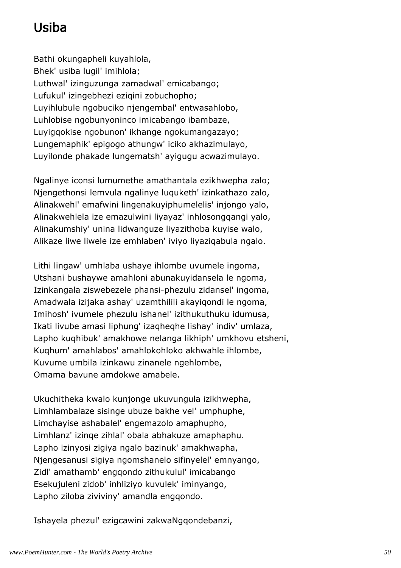# Usiba

Bathi okungapheli kuyahlola, Bhek' usiba lugil' imihlola; Luthwal' izinguzunga zamadwal' emicabango; Lufukul' izingebhezi eziqini zobuchopho; Luyihlubule ngobuciko njengembal' entwasahlobo, Luhlobise ngobunyoninco imicabango ibambaze, Luyigqokise ngobunon' ikhange ngokumangazayo; Lungemaphik' epigogo athungw' iciko akhazimulayo, Luyilonde phakade lungematsh' ayigugu acwazimulayo.

Ngalinye iconsi lumumethe amathantala ezikhwepha zalo; Njengethonsi lemvula ngalinye luquketh' izinkathazo zalo, Alinakwehl' emafwini lingenakuyiphumelelis' injongo yalo, Alinakwehlela ize emazulwini liyayaz' inhlosongqangi yalo, Alinakumshiy' unina lidwanguze liyazithoba kuyise walo, Alikaze liwe liwele ize emhlaben' iviyo liyaziqabula ngalo.

Lithi lingaw' umhlaba ushaye ihlombe uvumele ingoma, Utshani bushaywe amahloni abunakuyidansela le ngoma, Izinkangala ziswebezele phansi-phezulu zidansel' ingoma, Amadwala izijaka ashay' uzamthilili akayiqondi le ngoma, Imihosh' ivumele phezulu ishanel' izithukuthuku idumusa, Ikati livube amasi liphung' izaqheqhe lishay' indiv' umlaza, Lapho kuqhibuk' amakhowe nelanga likhiph' umkhovu etsheni, Kuqhum' amahlabos' amahlokohloko akhwahle ihlombe, Kuvume umbila izinkawu zinanele ngehlombe, Omama bavune amdokwe amabele.

Ukuchitheka kwalo kunjonge ukuvungula izikhwepha, Limhlambalaze sisinge ubuze bakhe vel' umphuphe, Limchayise ashabalel' engemazolo amaphupho, Limhlanz' izinqe zihlal' obala abhakuze amaphaphu. Lapho izinyosi zigiya ngalo bazinuk' amakhwapha, Njengesanusi sigiya ngomshanelo sifinyelel' emnyango, Zidl' amathamb' engqondo zithukulul' imicabango Esekujuleni zidob' inhliziyo kuvulek' iminyango, Lapho ziloba ziviviny' amandla engqondo.

Ishayela phezul' ezigcawini zakwaNgqondebanzi,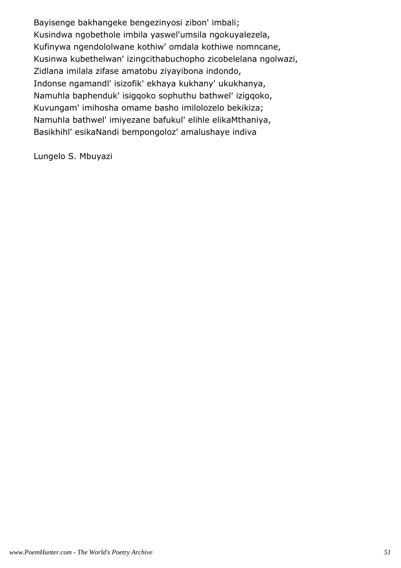Bayisenge bakhangeke bengezinyosi zibon' imbali; Kusindwa ngobethole imbila yaswel'umsila ngokuyalezela, Kufinywa ngendololwane kothiw' omdala kothiwe nomncane, Kusinwa kubethelwan' izingcithabuchopho zicobelelana ngolwazi, Zidlana imilala zifase amatobu ziyayibona indondo, Indonse ngamandl' isizofik' ekhaya kukhany' ukukhanya, Namuhla baphenduk' isigqoko sophuthu bathwel' izigqoko, Kuvungam' imihosha omame basho imilolozelo bekikiza; Namuhla bathwel' imiyezane bafukul' elihle elikaMthaniya, Basikhihl' esikaNandi bempongoloz' amalushaye indiva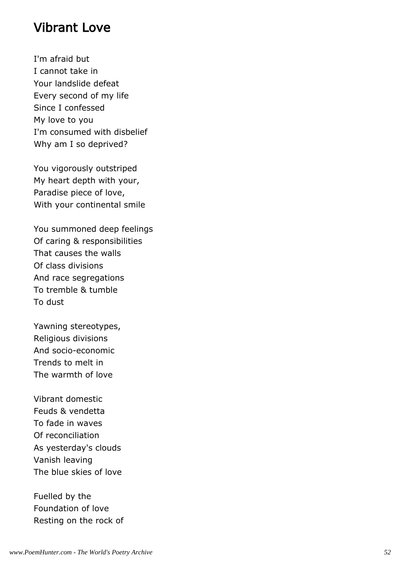#### Vibrant Love

I'm afraid but I cannot take in Your landslide defeat Every second of my life Since I confessed My love to you I'm consumed with disbelief Why am I so deprived?

You vigorously outstriped My heart depth with your, Paradise piece of love, With your continental smile

You summoned deep feelings Of caring & responsibilities That causes the walls Of class divisions And race segregations To tremble & tumble To dust

Yawning stereotypes, Religious divisions And socio-economic Trends to melt in The warmth of love

Vibrant domestic Feuds & vendetta To fade in waves Of reconciliation As yesterday's clouds Vanish leaving The blue skies of love

Fuelled by the Foundation of love Resting on the rock of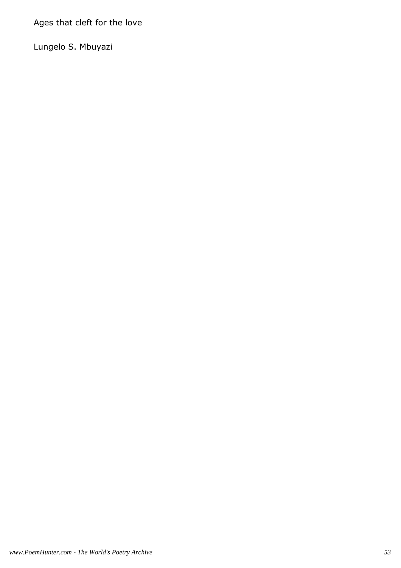Ages that cleft for the love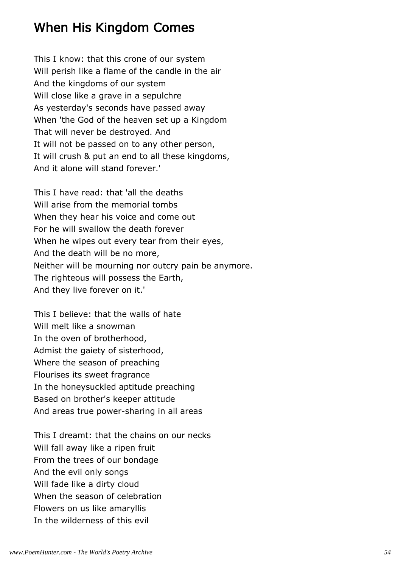# When His Kingdom Comes

This I know: that this crone of our system Will perish like a flame of the candle in the air And the kingdoms of our system Will close like a grave in a sepulchre As yesterday's seconds have passed away When 'the God of the heaven set up a Kingdom That will never be destroyed. And It will not be passed on to any other person, It will crush & put an end to all these kingdoms, And it alone will stand forever.'

This I have read: that 'all the deaths Will arise from the memorial tombs When they hear his voice and come out For he will swallow the death forever When he wipes out every tear from their eyes, And the death will be no more, Neither will be mourning nor outcry pain be anymore. The righteous will possess the Earth, And they live forever on it.'

This I believe: that the walls of hate Will melt like a snowman In the oven of brotherhood, Admist the gaiety of sisterhood, Where the season of preaching Flourises its sweet fragrance In the honeysuckled aptitude preaching Based on brother's keeper attitude And areas true power-sharing in all areas

This I dreamt: that the chains on our necks Will fall away like a ripen fruit From the trees of our bondage And the evil only songs Will fade like a dirty cloud When the season of celebration Flowers on us like amaryllis In the wilderness of this evil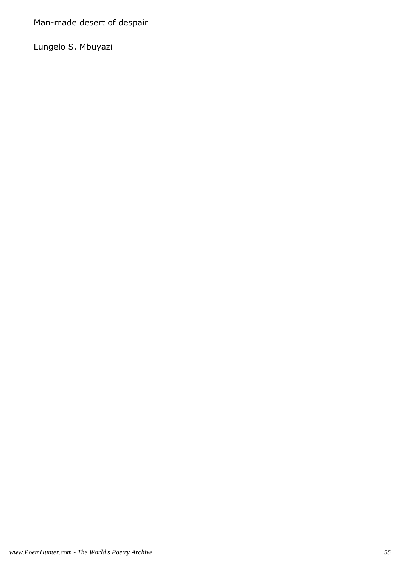Man-made desert of despair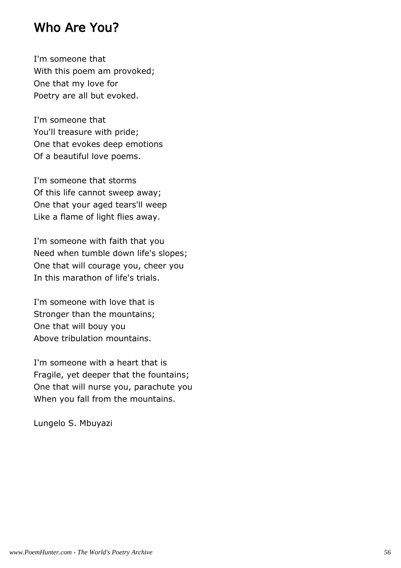#### Who Are You?

I'm someone that With this poem am provoked; One that my love for Poetry are all but evoked.

I'm someone that You'll treasure with pride; One that evokes deep emotions Of a beautiful love poems.

I'm someone that storms Of this life cannot sweep away; One that your aged tears'll weep Like a flame of light flies away.

I'm someone with faith that you Need when tumble down life's slopes; One that will courage you, cheer you In this marathon of life's trials.

I'm someone with love that is Stronger than the mountains; One that will bouy you Above tribulation mountains.

I'm someone with a heart that is Fragile, yet deeper that the fountains; One that will nurse you, parachute you When you fall from the mountains.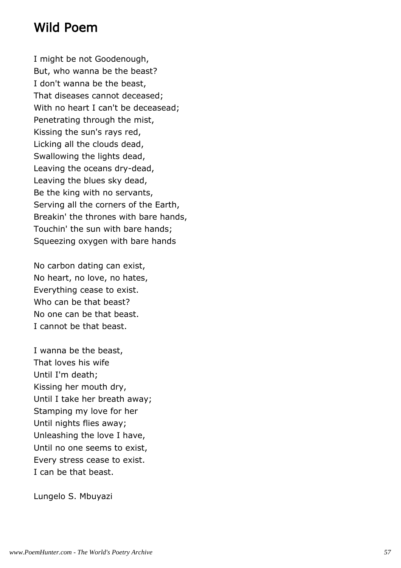#### Wild Poem

I might be not Goodenough, But, who wanna be the beast? I don't wanna be the beast, That diseases cannot deceased; With no heart I can't be deceasead; Penetrating through the mist, Kissing the sun's rays red, Licking all the clouds dead, Swallowing the lights dead, Leaving the oceans dry-dead, Leaving the blues sky dead, Be the king with no servants, Serving all the corners of the Earth, Breakin' the thrones with bare hands, Touchin' the sun with bare hands; Squeezing oxygen with bare hands

No carbon dating can exist, No heart, no love, no hates, Everything cease to exist. Who can be that beast? No one can be that beast. I cannot be that beast.

I wanna be the beast, That loves his wife Until I'm death; Kissing her mouth dry, Until I take her breath away; Stamping my love for her Until nights flies away; Unleashing the love I have, Until no one seems to exist, Every stress cease to exist. I can be that beast.